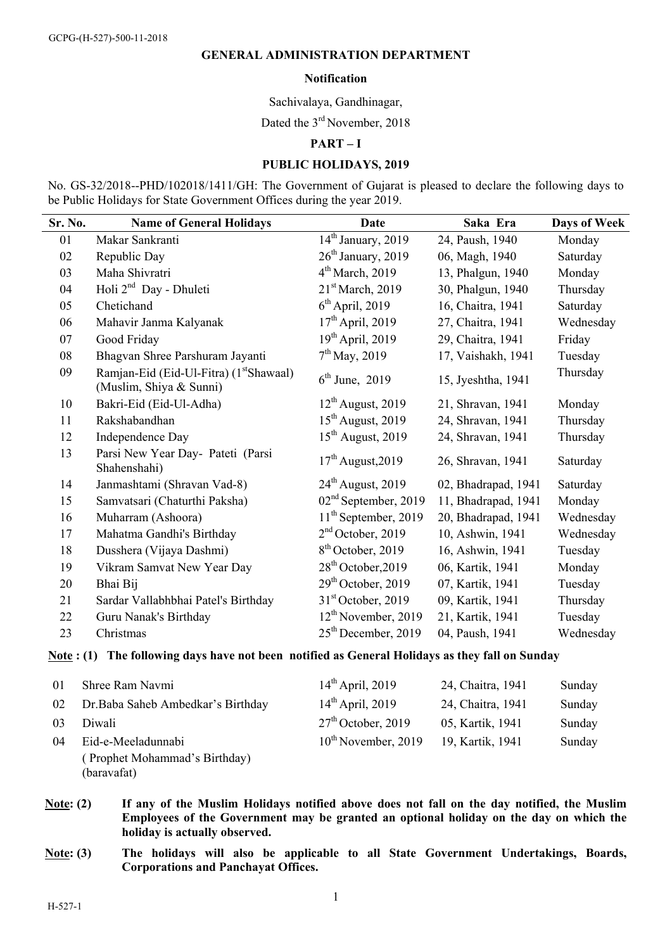### **GENERAL ADMINISTRATION DEPARTMENT**

#### **Notification**

Sachivalaya, Gandhinagar,

Dated the 3<sup>rd</sup> November, 2018

# **PART – I**

### **PUBLIC HOLIDAYS, 2019**

No. GS-32/2018--PHD/102018/1411/GH: The Government of Gujarat is pleased to declare the following days to be Public Holidays for State Government Offices during the year 2019.

| Sr. No. | <b>Name of General Holidays</b>                                                | Date                             | Saka Era            | Days of Week |
|---------|--------------------------------------------------------------------------------|----------------------------------|---------------------|--------------|
| 01      | Makar Sankranti                                                                | 14 <sup>th</sup> January, 2019   | 24, Paush, 1940     | Monday       |
| 02      | Republic Day                                                                   | $26th$ January, 2019             | 06, Magh, 1940      | Saturday     |
| 03      | Maha Shivratri                                                                 | $4th March$ , 2019               | 13, Phalgun, 1940   | Monday       |
| 04      | Holi 2 <sup>nd</sup> Day - Dhuleti                                             | 21 <sup>st</sup> March, 2019     | 30, Phalgun, 1940   | Thursday     |
| 05      | Chetichand                                                                     | $6th$ April, 2019                | 16, Chaitra, 1941   | Saturday     |
| 06      | Mahavir Janma Kalyanak                                                         | $17th$ April, 2019               | 27, Chaitra, 1941   | Wednesday    |
| 07      | Good Friday                                                                    | $19th$ April, 2019               | 29, Chaitra, 1941   | Friday       |
| 08      | Bhagvan Shree Parshuram Jayanti                                                | $7^{th}$ May, 2019               | 17, Vaishakh, 1941  | Tuesday      |
| 09      | Ramjan-Eid (Eid-Ul-Fitra) (1 <sup>st</sup> Shawaal)<br>(Muslim, Shiya & Sunni) | $6th$ June, 2019                 | 15, Jyeshtha, 1941  | Thursday     |
| 10      | Bakri-Eid (Eid-Ul-Adha)                                                        | $12th$ August, 2019              | 21, Shravan, 1941   | Monday       |
| 11      | Rakshabandhan                                                                  | $15th$ August, 2019              | 24, Shravan, 1941   | Thursday     |
| 12      | Independence Day                                                               | $15th$ August, 2019              | 24, Shravan, 1941   | Thursday     |
| 13      | Parsi New Year Day- Pateti (Parsi<br>Shahenshahi)                              | $17th$ August, 2019              | 26, Shravan, 1941   | Saturday     |
| 14      | Janmashtami (Shravan Vad-8)                                                    | $24th$ August, 2019              | 02, Bhadrapad, 1941 | Saturday     |
| 15      | Samvatsari (Chaturthi Paksha)                                                  | 02 <sup>nd</sup> September, 2019 | 11, Bhadrapad, 1941 | Monday       |
| 16      | Muharram (Ashoora)                                                             | $11th$ September, 2019           | 20, Bhadrapad, 1941 | Wednesday    |
| 17      | Mahatma Gandhi's Birthday                                                      | 2 <sup>nd</sup> October, 2019    | 10, Ashwin, 1941    | Wednesday    |
| 18      | Dusshera (Vijaya Dashmi)                                                       | $8th$ October, 2019              | 16, Ashwin, 1941    | Tuesday      |
| 19      | Vikram Samvat New Year Day                                                     | $28th$ October, 2019             | 06, Kartik, 1941    | Monday       |
| 20      | Bhai Bij                                                                       | $29th$ October, 2019             | 07, Kartik, 1941    | Tuesday      |
| 21      | Sardar Vallabhbhai Patel's Birthday                                            | $31st$ October, 2019             | 09, Kartik, 1941    | Thursday     |
| 22      | Guru Nanak's Birthday                                                          | $12th$ November, 2019            | 21, Kartik, 1941    | Tuesday      |
| 23      | Christmas                                                                      | $25th$ December, 2019            | 04, Paush, 1941     | Wednesday    |

### **Note : (1) The following days have not been notified as General Holidays as they fall on Sunday**

| 01 | Shree Ram Navmi                    | $14th$ April, 2019       | 24, Chaitra, 1941 | Sunday |
|----|------------------------------------|--------------------------|-------------------|--------|
| 02 | Dr. Baba Saheb Ambedkar's Birthday | $14th$ April, 2019       | 24, Chaitra, 1941 | Sunday |
| 03 | Diwali                             | $27th$ October, 2019     | 05, Kartik, 1941  | Sunday |
| 04 | Eid-e-Meeladunnabi                 | $10^{th}$ November, 2019 | 19, Kartik, 1941  | Sunday |
|    | (Prophet Mohammad's Birthday)      |                          |                   |        |
|    | (baravafat)                        |                          |                   |        |

**Note: (2) If any of the Muslim Holidays notified above does not fall on the day notified, the Muslim Employees of the Government may be granted an optional holiday on the day on which the holiday is actually observed.** 

**Note: (3) The holidays will also be applicable to all State Government Undertakings, Boards, Corporations and Panchayat Offices.**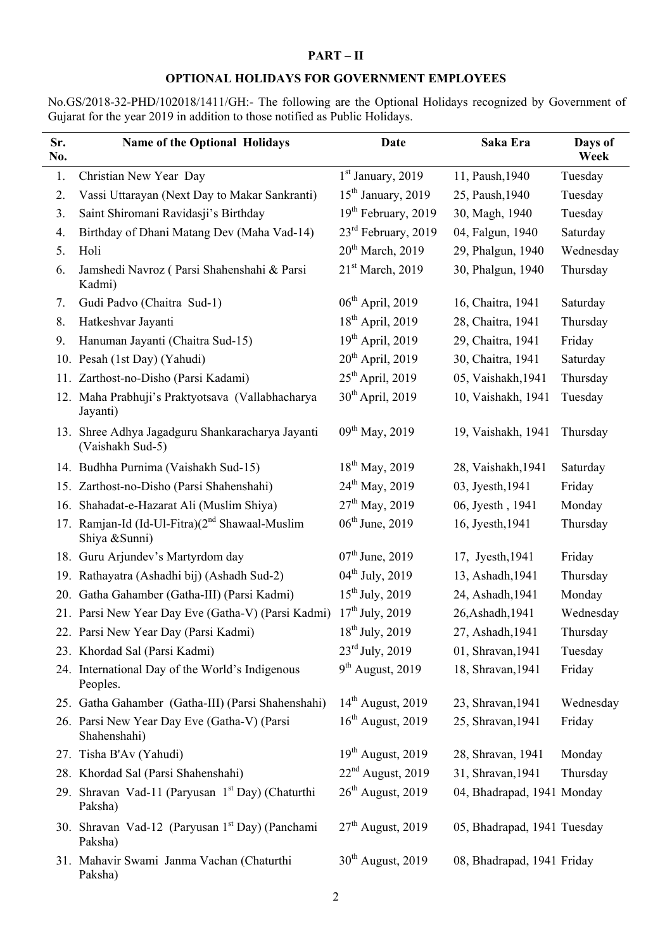## **PART – II**

## **OPTIONAL HOLIDAYS FOR GOVERNMENT EMPLOYEES**

No.GS/2018-32-PHD/102018/1411/GH:- The following are the Optional Holidays recognized by Government of Gujarat for the year 2019 in addition to those notified as Public Holidays.

| Sr.<br>No. | <b>Name of the Optional Holidays</b>                                         | Date                            | Saka Era                    | Days of<br>Week |
|------------|------------------------------------------------------------------------------|---------------------------------|-----------------------------|-----------------|
| 1.         | Christian New Year Day                                                       | 1st January, 2019               | 11, Paush, 1940             | Tuesday         |
| 2.         | Vassi Uttarayan (Next Day to Makar Sankranti)                                | $15th$ January, 2019            | 25, Paush, 1940             | Tuesday         |
| 3.         | Saint Shiromani Ravidasji's Birthday                                         | 19 <sup>th</sup> February, 2019 | 30, Magh, 1940              | Tuesday         |
| 4.         | Birthday of Dhani Matang Dev (Maha Vad-14)                                   | $23^{\text{rd}}$ February, 2019 | 04, Falgun, 1940            | Saturday        |
| 5.         | Holi                                                                         | $20th$ March, 2019              | 29, Phalgun, 1940           | Wednesday       |
| 6.         | Jamshedi Navroz (Parsi Shahenshahi & Parsi<br>Kadmi)                         | 21 <sup>st</sup> March, 2019    | 30, Phalgun, 1940           | Thursday        |
| 7.         | Gudi Padvo (Chaitra Sud-1)                                                   | $06th$ April, 2019              | 16, Chaitra, 1941           | Saturday        |
| 8.         | Hatkeshvar Jayanti                                                           | $18th$ April, 2019              | 28, Chaitra, 1941           | Thursday        |
| 9.         | Hanuman Jayanti (Chaitra Sud-15)                                             | $19th$ April, 2019              | 29, Chaitra, 1941           | Friday          |
| 10.        | Pesah (1st Day) (Yahudi)                                                     | $20th$ April, 2019              | 30, Chaitra, 1941           | Saturday        |
| 11.        | Zarthost-no-Disho (Parsi Kadami)                                             | $25th$ April, 2019              | 05, Vaishakh, 1941          | Thursday        |
|            | 12. Maha Prabhuji's Praktyotsava (Vallabhacharya<br>Jayanti)                 | $30th$ April, 2019              | 10, Vaishakh, 1941          | Tuesday         |
|            | 13. Shree Adhya Jagadguru Shankaracharya Jayanti<br>(Vaishakh Sud-5)         | $09^{th}$ May, 2019             | 19, Vaishakh, 1941          | Thursday        |
|            | 14. Budhha Purnima (Vaishakh Sud-15)                                         | $18^{th}$ May, 2019             | 28, Vaishakh, 1941          | Saturday        |
|            | 15. Zarthost-no-Disho (Parsi Shahenshahi)                                    | $24^{\text{th}}$ May, 2019      | 03, Jyesth, 1941            | Friday          |
|            | 16. Shahadat-e-Hazarat Ali (Muslim Shiya)                                    | $27^{th}$ May, 2019             | 06, Jyesth, 1941            | Monday          |
|            | 17. Ramjan-Id (Id-Ul-Fitra)(2 <sup>nd</sup> Shawaal-Muslim<br>Shiya & Sunni) | $06^{\text{th}}$ June, 2019     | 16, Jyesth, 1941            | Thursday        |
|            | 18. Guru Arjundev's Martyrdom day                                            | $07th$ June, 2019               | 17, Jyesth, 1941            | Friday          |
|            | 19. Rathayatra (Ashadhi bij) (Ashadh Sud-2)                                  | $04^{\text{th}}$ July, 2019     | 13, Ashadh, 1941            | Thursday        |
|            | 20. Gatha Gahamber (Gatha-III) (Parsi Kadmi)                                 | $15^{th}$ July, 2019            | 24, Ashadh, 1941            | Monday          |
|            | 21. Parsi New Year Day Eve (Gatha-V) (Parsi Kadmi)                           | $17^{th}$ July, 2019            | 26, Ashadh, 1941            | Wednesday       |
|            | 22. Parsi New Year Day (Parsi Kadmi)                                         | 18 <sup>th</sup> July, 2019     | 27, Ashadh, 1941            | Thursday        |
|            | 23. Khordad Sal (Parsi Kadmi)                                                | $23^{\text{rd}}$ July, 2019     | 01, Shravan, 1941           | Tuesday         |
|            | 24. International Day of the World's Indigenous<br>Peoples.                  | $9th$ August, 2019              | 18, Shravan, 1941           | Friday          |
|            | 25. Gatha Gahamber (Gatha-III) (Parsi Shahenshahi)                           | $14th$ August, 2019             | 23, Shravan, 1941           | Wednesday       |
|            | 26. Parsi New Year Day Eve (Gatha-V) (Parsi<br>Shahenshahi)                  | $16th$ August, 2019             | 25, Shravan, 1941           | Friday          |
|            | 27. Tisha B'Av (Yahudi)                                                      | $19th$ August, 2019             | 28, Shravan, 1941           | Monday          |
|            | 28. Khordad Sal (Parsi Shahenshahi)                                          | $22nd$ August, 2019             | 31, Shravan, 1941           | Thursday        |
|            | 29. Shravan Vad-11 (Paryusan 1 <sup>st</sup> Day) (Chaturthi<br>Paksha)      | $26th$ August, 2019             | 04, Bhadrapad, 1941 Monday  |                 |
|            | 30. Shravan Vad-12 (Paryusan 1 <sup>st</sup> Day) (Panchami<br>Paksha)       | $27th$ August, 2019             | 05, Bhadrapad, 1941 Tuesday |                 |
|            | 31. Mahavir Swami Janma Vachan (Chaturthi<br>Paksha)                         | 30 <sup>th</sup> August, 2019   | 08, Bhadrapad, 1941 Friday  |                 |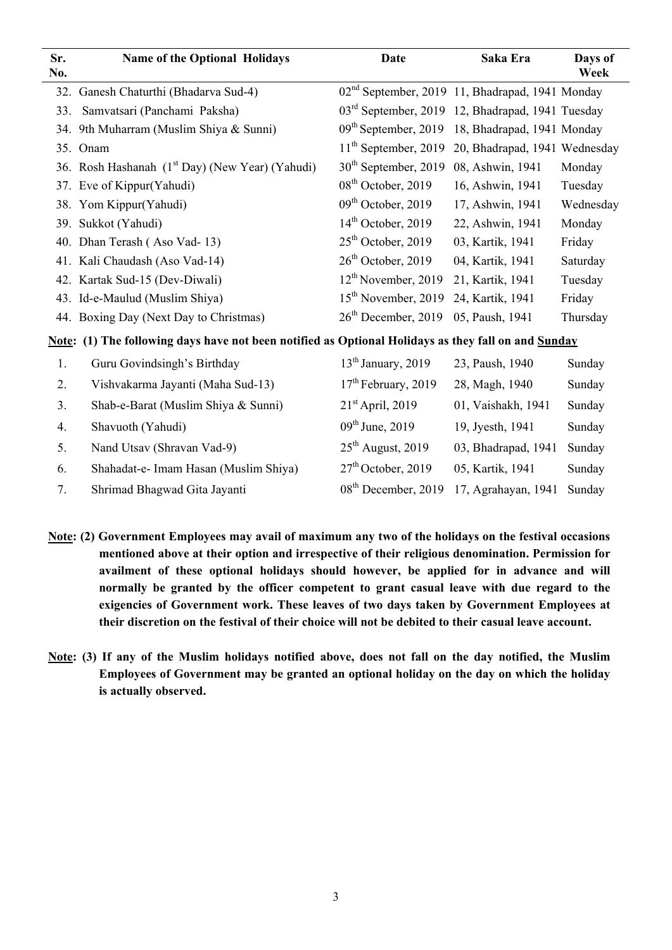| Sr.<br>No. | <b>Name of the Optional Holidays</b>                                                                | <b>Date</b>                                                  | Saka Era                      | Days of<br>Week |
|------------|-----------------------------------------------------------------------------------------------------|--------------------------------------------------------------|-------------------------------|-----------------|
|            | 32. Ganesh Chaturthi (Bhadarva Sud-4)                                                               | 02 <sup>nd</sup> September, 2019 11, Bhadrapad, 1941 Monday  |                               |                 |
| 33.        | Samvatsari (Panchami Paksha)                                                                        | 03 <sup>rd</sup> September, 2019 12, Bhadrapad, 1941 Tuesday |                               |                 |
|            | 34. 9th Muharram (Muslim Shiya & Sunni)                                                             | 09 <sup>th</sup> September, 2019                             | 18, Bhadrapad, 1941 Monday    |                 |
|            | 35. Onam                                                                                            | $11th$ September, 2019                                       | 20, Bhadrapad, 1941 Wednesday |                 |
|            | 36. Rosh Hashanah (1 <sup>st</sup> Day) (New Year) (Yahudi)                                         | 30 <sup>th</sup> September, 2019                             | 08, Ashwin, 1941              | Monday          |
|            | 37. Eve of Kippur(Yahudi)                                                                           | $08th$ October, 2019                                         | 16, Ashwin, 1941              | Tuesday         |
|            | 38. Yom Kippur(Yahudi)                                                                              | $09th$ October, 2019                                         | 17, Ashwin, 1941              | Wednesday       |
|            | 39. Sukkot (Yahudi)                                                                                 | $14th$ October, 2019                                         | 22, Ashwin, 1941              | Monday          |
| 40.        | Dhan Terash (Aso Vad-13)                                                                            | $25th$ October, 2019                                         | 03, Kartik, 1941              | Friday          |
| 41.        | Kali Chaudash (Aso Vad-14)                                                                          | $26th$ October, 2019                                         | 04, Kartik, 1941              | Saturday        |
| 42.        | Kartak Sud-15 (Dev-Diwali)                                                                          | $12th$ November, 2019                                        | 21, Kartik, 1941              | Tuesday         |
|            | 43. Id-e-Maulud (Muslim Shiya)                                                                      | 15 <sup>th</sup> November, 2019                              | 24, Kartik, 1941              | Friday          |
|            | 44. Boxing Day (Next Day to Christmas)                                                              | $26th$ December, 2019                                        | 05, Paush, 1941               | Thursday        |
|            | Note: (1) The following days have not been notified as Optional Holidays as they fall on and Sunday |                                                              |                               |                 |
| 1.         | Guru Govindsingh's Birthday                                                                         | $13th$ January, 2019                                         | 23, Paush, 1940               | Sunday          |
| 2.         | Vishvakarma Jayanti (Maha Sud-13)                                                                   | 17 <sup>th</sup> February, 2019                              | 28, Magh, 1940                | Sunday          |
| 3.         | Shab-e-Barat (Muslim Shiya & Sunni)                                                                 | $21st$ April, 2019                                           | 01, Vaishakh, 1941            | Sunday          |
| 4.         | Shavuoth (Yahudi)                                                                                   | $09^{th}$ June, 2019                                         | 19, Jyesth, 1941              | Sunday          |
| 5.         | Nand Utsav (Shravan Vad-9)                                                                          | $25th$ August, 2019                                          | 03, Bhadrapad, 1941           | Sunday          |
| 6.         | Shahadat-e- Imam Hasan (Muslim Shiya)                                                               | $27th$ October, 2019                                         | 05, Kartik, 1941              | Sunday          |
| 7.         | Shrimad Bhagwad Gita Jayanti                                                                        | 08 <sup>th</sup> December, 2019                              | 17, Agrahayan, 1941           | Sunday          |

- **Note: (2) Government Employees may avail of maximum any two of the holidays on the festival occasions mentioned above at their option and irrespective of their religious denomination. Permission for availment of these optional holidays should however, be applied for in advance and will normally be granted by the officer competent to grant casual leave with due regard to the exigencies of Government work. These leaves of two days taken by Government Employees at their discretion on the festival of their choice will not be debited to their casual leave account.**
- **Note: (3) If any of the Muslim holidays notified above, does not fall on the day notified, the Muslim Employees of Government may be granted an optional holiday on the day on which the holiday is actually observed.**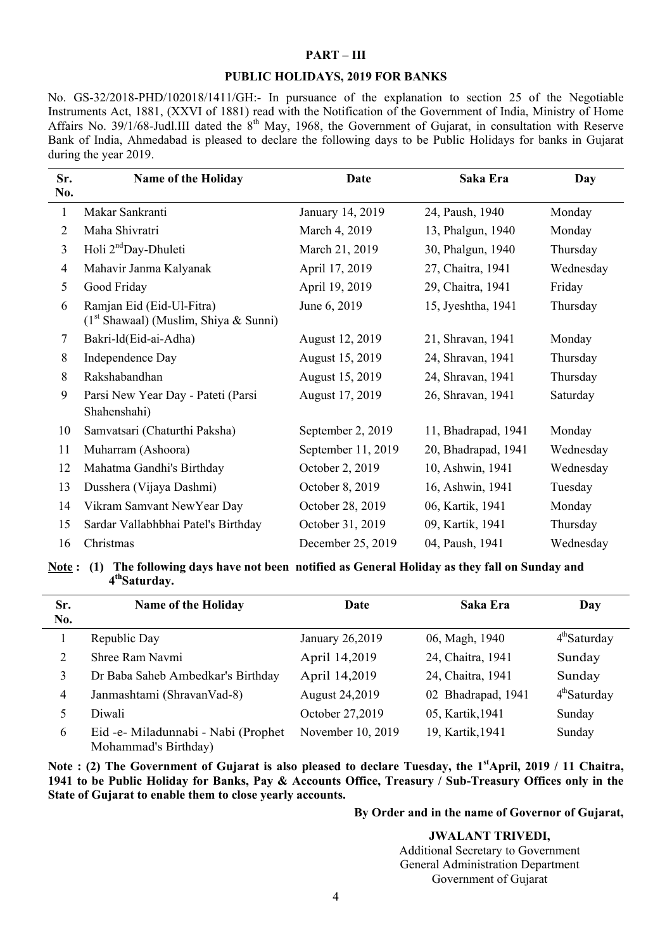## **PART – III**

#### **PUBLIC HOLIDAYS, 2019 FOR BANKS**

No. GS-32/2018-PHD/102018/1411/GH:- In pursuance of the explanation to section 25 of the Negotiable Instruments Act, 1881, (XXVI of 1881) read with the Notification of the Government of India, Ministry of Home Affairs No. 39/1/68-Judl.III dated the 8<sup>th</sup> May, 1968, the Government of Gujarat, in consultation with Reserve Bank of India, Ahmedabad is pleased to declare the following days to be Public Holidays for banks in Gujarat during the year 2019.

| Sr.<br>No.     | Name of the Holiday                                                  | <b>Date</b>        | Saka Era            | Day       |
|----------------|----------------------------------------------------------------------|--------------------|---------------------|-----------|
| $\mathbf{1}$   | Makar Sankranti                                                      | January 14, 2019   | 24, Paush, 1940     | Monday    |
| 2              | Maha Shivratri                                                       | March 4, 2019      | 13, Phalgun, 1940   | Monday    |
| $\overline{3}$ | Holi 2 <sup>nd</sup> Day-Dhuleti                                     | March 21, 2019     | 30, Phalgun, 1940   | Thursday  |
| 4              | Mahavir Janma Kalyanak                                               | April 17, 2019     | 27, Chaitra, 1941   | Wednesday |
| 5              | Good Friday                                                          | April 19, 2019     | 29, Chaitra, 1941   | Friday    |
| 6              | Ramjan Eid (Eid-Ul-Fitra)<br>$(1st Shawaal)$ (Muslim, Shiya & Sunni) | June 6, 2019       | 15, Jyeshtha, 1941  | Thursday  |
| 7              | Bakri-ld(Eid-ai-Adha)                                                | August 12, 2019    | 21, Shravan, 1941   | Monday    |
| 8              | Independence Day                                                     | August 15, 2019    | 24, Shravan, 1941   | Thursday  |
| 8              | Rakshabandhan                                                        | August 15, 2019    | 24, Shravan, 1941   | Thursday  |
| 9              | Parsi New Year Day - Pateti (Parsi<br>Shahenshahi)                   | August 17, 2019    | 26, Shravan, 1941   | Saturday  |
| 10             | Samvatsari (Chaturthi Paksha)                                        | September 2, 2019  | 11, Bhadrapad, 1941 | Monday    |
| 11             | Muharram (Ashoora)                                                   | September 11, 2019 | 20, Bhadrapad, 1941 | Wednesday |
| 12             | Mahatma Gandhi's Birthday                                            | October 2, 2019    | 10, Ashwin, 1941    | Wednesday |
| 13             | Dusshera (Vijaya Dashmi)                                             | October 8, 2019    | 16, Ashwin, 1941    | Tuesday   |
| 14             | Vikram Samvant NewYear Day                                           | October 28, 2019   | 06, Kartik, 1941    | Monday    |
| 15             | Sardar Vallabhbhai Patel's Birthday                                  | October 31, 2019   | 09, Kartik, 1941    | Thursday  |
| 16             | Christmas                                                            | December 25, 2019  | 04, Paush, 1941     | Wednesday |

**Note : (1) The following days have not been notified as General Holiday as they fall on Sunday and 4thSaturday.** 

| Sr. | <b>Name of the Holiday</b>                                  | Date                  | Saka Era           | Day                      |
|-----|-------------------------------------------------------------|-----------------------|--------------------|--------------------------|
| No. |                                                             |                       |                    |                          |
|     | Republic Day                                                | January 26,2019       | 06, Magh, 1940     | 4 <sup>th</sup> Saturday |
| 2   | Shree Ram Navmi                                             | April 14,2019         | 24, Chaitra, 1941  | Sunday                   |
| 3   | Dr Baba Saheb Ambedkar's Birthday                           | April 14,2019         | 24, Chaitra, 1941  | Sunday                   |
| 4   | Janmashtami (ShravanVad-8)                                  | <b>August 24,2019</b> | 02 Bhadrapad, 1941 | 4 <sup>th</sup> Saturday |
| 5   | Diwali                                                      | October 27,2019       | 05, Kartik, 1941   | Sunday                   |
| 6   | Eid -e- Miladunnabi - Nabi (Prophet<br>Mohammad's Birthday) | November 10, 2019     | 19, Kartik, 1941   | Sunday                   |

Note : (2) The Government of Gujarat is also pleased to declare Tuesday, the 1<sup>st</sup>April, 2019 / 11 Chaitra, **1941 to be Public Holiday for Banks, Pay & Accounts Office, Treasury / Sub-Treasury Offices only in the State of Gujarat to enable them to close yearly accounts.** 

### **By Order and in the name of Governor of Gujarat,**

**JWALANT TRIVEDI,**

Additional Secretary to Government General Administration Department Government of Gujarat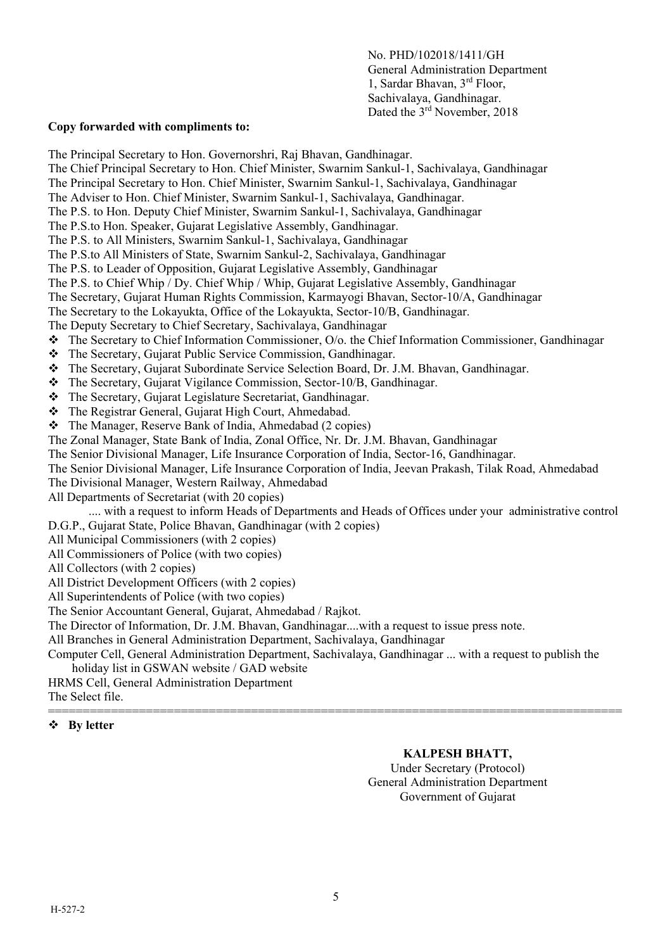No. PHD/102018/1411/GH General Administration Department 1, Sardar Bhavan, 3rd Floor, Sachivalaya, Gandhinagar. Dated the 3<sup>rd</sup> November, 2018

### **Copy forwarded with compliments to:**

The Principal Secretary to Hon. Governorshri, Raj Bhavan, Gandhinagar. The Chief Principal Secretary to Hon. Chief Minister, Swarnim Sankul-1, Sachivalaya, Gandhinagar The Principal Secretary to Hon. Chief Minister, Swarnim Sankul-1, Sachivalaya, Gandhinagar The Adviser to Hon. Chief Minister, Swarnim Sankul-1, Sachivalaya, Gandhinagar. The P.S. to Hon. Deputy Chief Minister, Swarnim Sankul-1, Sachivalaya, Gandhinagar The P.S.to Hon. Speaker, Gujarat Legislative Assembly, Gandhinagar. The P.S. to All Ministers, Swarnim Sankul-1, Sachivalaya, Gandhinagar The P.S.to All Ministers of State, Swarnim Sankul-2, Sachivalaya, Gandhinagar The P.S. to Leader of Opposition, Gujarat Legislative Assembly, Gandhinagar The P.S. to Chief Whip / Dy. Chief Whip / Whip, Gujarat Legislative Assembly, Gandhinagar The Secretary, Gujarat Human Rights Commission, Karmayogi Bhavan, Sector-10/A, Gandhinagar The Secretary to the Lokayukta, Office of the Lokayukta, Sector-10/B, Gandhinagar. The Deputy Secretary to Chief Secretary, Sachivalaya, Gandhinagar The Secretary to Chief Information Commissioner, O/o. the Chief Information Commissioner, Gandhinagar The Secretary, Gujarat Public Service Commission, Gandhinagar. The Secretary, Gujarat Subordinate Service Selection Board, Dr. J.M. Bhavan, Gandhinagar. The Secretary, Gujarat Vigilance Commission, Sector-10/B, Gandhinagar. The Secretary, Gujarat Legislature Secretariat, Gandhinagar. The Registrar General, Gujarat High Court, Ahmedabad. The Manager, Reserve Bank of India, Ahmedabad (2 copies) The Zonal Manager, State Bank of India, Zonal Office, Nr. Dr. J.M. Bhavan, Gandhinagar The Senior Divisional Manager, Life Insurance Corporation of India, Sector-16, Gandhinagar. The Senior Divisional Manager, Life Insurance Corporation of India, Jeevan Prakash, Tilak Road, Ahmedabad The Divisional Manager, Western Railway, Ahmedabad All Departments of Secretariat (with 20 copies) .... with a request to inform Heads of Departments and Heads of Offices under your administrative control D.G.P., Gujarat State, Police Bhavan, Gandhinagar (with 2 copies) All Municipal Commissioners (with 2 copies) All Commissioners of Police (with two copies) All Collectors (with 2 copies) All District Development Officers (with 2 copies) All Superintendents of Police (with two copies) The Senior Accountant General, Gujarat, Ahmedabad / Rajkot.

The Director of Information, Dr. J.M. Bhavan, Gandhinagar....with a request to issue press note.

All Branches in General Administration Department, Sachivalaya, Gandhinagar

Computer Cell, General Administration Department, Sachivalaya, Gandhinagar ... with a request to publish the holiday list in GSWAN website / GAD website

HRMS Cell, General Administration Department The Select file. ==================================================================================

**By letter** 

## **KALPESH BHATT,**

Under Secretary (Protocol) General Administration Department Government of Gujarat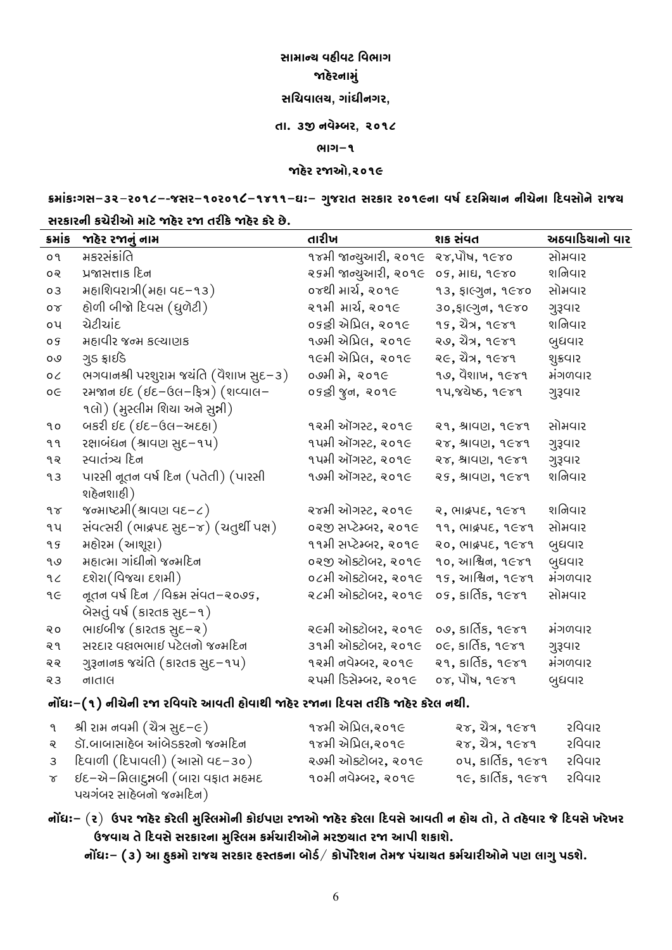**઼ીરીન્લ ષઽૂષડ ુષયીઙ** જા**ઠે**રનામું **઼ુજષીવલ, ઙીઅપૂફઙળ, દી. ૫જી ફષૉમ્મળ, ૪૨૩૱ યીઙ-૩ જાઽૉળ ળજાક**,**૪૨૩૯**

ક્રમાંકઃગસ–૩૨–૨૦૧૮–-જસર–૧૦૨૦૧૮–૧૪૧૧–ઘઃ– ગુજરાત સરકાર ૨૦૧૯ના વર્ષ દરમિચાન નીચેના દિવસોને રાજચ

# **઼ળગીળફૂ ગજૉળૂક રીડૉજાઽૉળ ળજા દળૂગૉજાઽૉળ ગળૉઝૉ.**

| sais        | જાહેર રજાનું નામ                        | તારીખ                          | શક સંવત                                | અઠવાડિયાનો વાર |
|-------------|-----------------------------------------|--------------------------------|----------------------------------------|----------------|
| 09          | મકરસંક્રાંતિ                            | ૧૪મી જાન્યુઆરી, ૨૦૧૯           | २४,पौष, १૯४०                           | સોમવાર         |
| ೦೪          | પ્રજાસત્તાક દિન                         | ૨૬મી જાન્યુઆરી, ૨૦૧૯           | 09, 212, 9680                          | શનિવાર         |
| 03          | મહાશિવરાત્રી (મહા વદ–૧૩)                | ૦૪થી માર્ચ, ૨૦૧૯               | $93,$ $$$ । $C3, 9$ $C70$              | સોમવાર         |
| $\sigma$    | હોળી બીજો દિવસ (ધુળેટી)                 | ૨૧મી માર્ચ, ૨૦૧૯               | ३०, हास्गुन, १ स्४०                    | ગુરૂવાર        |
| οų          | ચેટીચાંદ                                | ૦૬ન્ડી એપ્રિલ, ૨૦૧૯            | <b>95, ปั๊ว, 9</b> 669                 | શનિવાર         |
| o s         | મહાવીર જન્મ કલ્ચાણક                     | ૧૭મી એપ્રિલ, ૨૦૧૯              | ૨૭, ચૈત્ર, ૧૯૪૧                        | બુધવાર         |
| <b>0</b> و  | ગુડ ફ્રાઈડે                             | ૧૯મી એપ્રિલ, ૨૦૧૯              | ર $\epsilon$ , ચૈત્ર, ૧૯૪૧             | શુક્રવાર       |
| $O\angle$   | ભગવાનશ્રી પરશુરામ જયંતિ (વૈશાખ સુદ–૩)   | ૦૭મી મે, ૨૦૧૯                  | $99,$ qs $10, 9679$                    | મંગળવાર        |
| $o \in$     | રમજાન ઈદ (ઈદ–ઉલ–ફિત્ર) (શવ્વાલ–         | ०૬કી જુન, ૨૦૧૯                 | १५, ४येष्ठ, १ ६४१                      | ગુરૂવાર        |
|             | ૧લો) (મુસ્લીમ શિયા અને સુન્ની)          |                                |                                        |                |
| 90          | બકરી ઈદ (ઈદ–ઉલ–અદહા)                    | ૧૨મી ઑગસ્ટ, ૨૦૧૯               | $29,$ $9192, 9679$                     | સોમવાર         |
| 99          | રક્ષાબંધન (શ્રાવણ સુદ–૧૫)               | ૧૫મી ઑગસ્ટ, ૨૦૧૯               | 28, 4192, 9609                         | ગુરૂવાર        |
| १२          | સ્વાતંત્ર્ય દિન                         | ૧૫મી ઑગસ્ટ, ૨૦૧૯               | 28, 4192, 9689                         | ગુરૂવાર        |
| 93          | પારસી નૂતન વર્ષ દિન (પતેતી) (પારસી      | ૧૭મી ઑગસ્ટ, ૨૦૧૯               | 29, 81421, 9689                        | શનિવાર         |
|             | શહેનશાહી)                               |                                |                                        |                |
| $9\sigma$   | જન્માષ્ટમી $($ શ્રાવણ વદ-૮ $)$          | રજમી ઓગસ્ટ <b>,</b> ૨૦૧૯       | 2, PII&YE, 9 Gr9                       | શનિવાર         |
| ٩y          | સંવત્સરી (ભાદ્રપદ સુદ-૪) (ચતુર્થી પક્ષ) | ૦૨જી સપ્ટેમ્બર, ૨૦૧૯           | 99, CHIQUE, 9G89                       | સોમવાર         |
| 95          | મહોરમ (આશૂરા)                           | ૧૧મી સપ્ટેમ્બર, ૨૦૧ $\epsilon$ | 20, CHIQUE, 9 Gr9                      | બુધવાર         |
| ی ۹         | મહાત્મા ગાંધીનો જન્મદિન                 | ૦૨જી ઓક્ટોબર, ૨૦૧૯             | ૧૦, આશ્વિન, ૧૯૪૧                       | બુધવાર         |
| 9<          | દશેરા(વિજયા દશમી)                       | ૦૮મી ઓક્ટોબર, ૨૦૧૯             | $95,$ આશ્વિન, १ $659$                  | મંગળવાર        |
| ٩E          | नूतन पर्ष हिन / पिड्य संपत-२०७९,        | <u>ર૮મી ઓક્ટોબર, ૨૦૧૯</u>      | $05, 8$ lás, ૧૯૪૧                      | સોમવાર         |
|             | બેસતું વર્ષ (કારતક સુદ–૧)               |                                |                                        |                |
| <u> ୧</u> ୦ | ભાઈબીજ (કારતક સુદ–૨)                    | ૨૯મી ઓક્ટોબર, ૨૦૧૯             | ०७, કાર્તિક, ૧૯૪૧                      | મંગળવાર        |
| ৰ ৭         | સરદાર વધ્રભભાઈ પટેલનો જન્મદિન           | ૩૧મી ઓક્ટોબર, ૨૦૧૯             | $o$ ૯, કાર્તિક, ૧૯૪૧                   | ગુરૂવાર        |
| ବ୍ୟ         | ગુરૂનાનક જયંતિ (કારતક સુદ–૧૫)           | ૧૨મી નવેમ્બર, ૨૦૧૯             | २१, $s$ ार्ति $s$ , १ $\varepsilon$ ४१ | મંગળવાર        |
| 23          | નાવાલ                                   | <u>રપમી ડિસેમ્બર, ૨૦૧૯</u>     | 08, 414, 9G89                          | બુધવાર         |
|             |                                         |                                |                                        |                |

# **ફáપઆ-(૩) ફૂજૉફૂ ળજા ળુષષીળૉઈષદૂ ઽ્ષીધૂ જાઽૉળ ળજાફી િનષ઼ દળૂગૉજાઽૉળ ગળૉવ ફધૂ.**

| ૧ શ્રી રામ નવમી (ચૈત્ર <u>સ</u> ્ $\epsilon$ –૯) | ૧૪મી એપ્રિલ,૨૦૧૯          | રજ, ચૈત્ર, ૧૯૪૧     | રવિવાર |
|--------------------------------------------------|---------------------------|---------------------|--------|
| <u>ર Sૉ.બાબાસાહેબ આંબેડકરનો જન્મદિન</u>          | ૧૪મી એપ્રિલ,૨૦૧૯          | રજ, ચૈત્ર, ૧૯૪૧     | રવિવાર |
| $3$ દિવાળી (દિપાવલી) (આસો વદ–૩૦)                 | <u>ર૭મી ઓક્ટોબર, ૨૦૧૯</u> | $04, 81$ $65, 9679$ | રવિવાર |
| ૪ ઇદ−એ−મિલાદુઋબી (બારા વફાત મહમદ                 | ૧૦મી નવેમ્બર, ૨૦૧૯        | ૧૯, કાર્તિક, ૧૯૪૧   | રવિવાર |
| પચગંબર સાહેબનો જન્મદિન)                          |                           |                     |        |

**ફáપઆ-** (**ળ**) **ઋબળ જાઽૉળ ગળૉવૂ રૃુ°વર્ફૂ ગ્ઉબથ ળજાક જાઽૉળ ગળૉવી િનષ઼ૉઈષદૂ ફ ઽ્લ દ્**, **દૉદઽૉષીળ ઞૉિનષ઼ૉઘળૉઘળ**  $k$ કિવર્સ કે રિવર્સે સરકારના મુસ્લિમ કર્મચારીઓને મરજીયાત રજા આપી શકાશે.

**ફáપઆ- (૫) ઈ ઽૃગર્ ળીઞલ ઼ળગીળ ઽ°દગફી મ્ણર્**/ **ગ્બâળૉસફ દૉરઞ બઅજીલદ ગરજીળૂકફ ર્ ૉબથ વીઙૃબણસૉ.**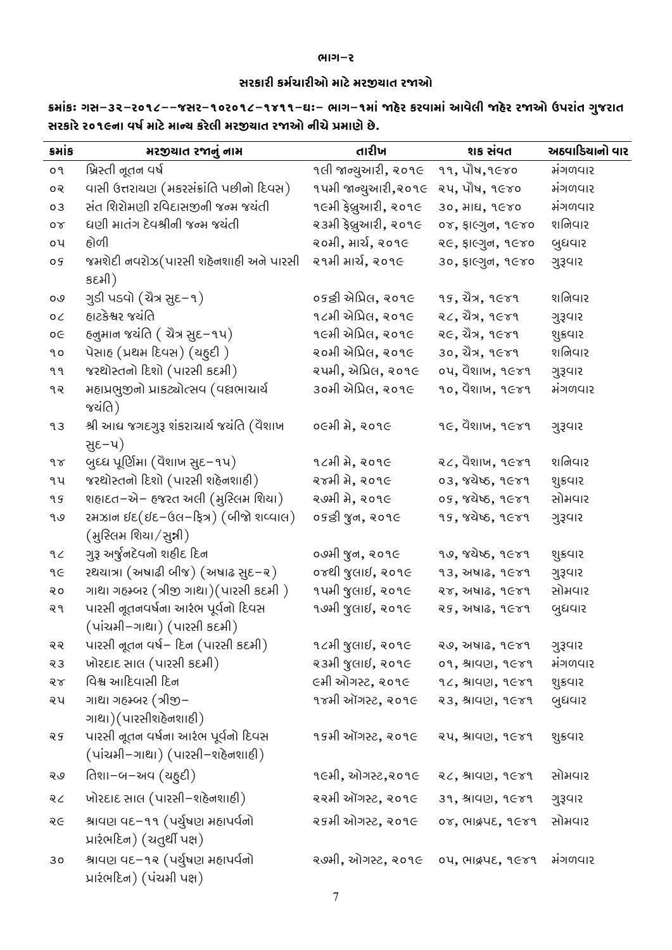## **યીઙ-ળ**

# **઼ળગીળૂ ગરર્જીળૂક રીડૉરળજીલીદ ળજાક**

કમાંકઃ ગસ–૩૨–૨૦૧૮––જસર–૧૦૨૦૧૮–૧૪૧૧–ઘઃ– ભાગ–૧માં જાહેર કરવામાં આવેલી જાહેર રજાઓ ઉપરાંત ગુજરાત **઼ળગીળૉળ૨૩૯ફી ષહર્રીડૉરીન્લ ગળૉવૂ રળજીલીદ ળજાક ફૂજૉËરીથૉઝૉ.** 

| કમાંક     | મરજીચાત રજાનું નામ                                                    | તારીખ                   | શક સંવત                                | અઠવાડિયાનો વાર |
|-----------|-----------------------------------------------------------------------|-------------------------|----------------------------------------|----------------|
| o٩        | ખ્રિસ્તી નૂતન વર્ષ                                                    | ૧લી જાન્યુઆરી, ૨૦૧૯     | $99,$ $114, 9600$                      | મંગળવાર        |
| ೦૨        | વાસી ઉત્તરાયણ (મકરસંક્રાંતિ પછીનો દિવસ)                               | ૧૫મી જાન્યુઆરી,૨૦૧૯     | २५, पौष, १૯४०                          | મંગળવાર        |
| 03        | સંત શિરોમણી રવિદાસજીની જન્મ જયંતી                                     | ૧૯મી ફેબ્રુઆરી, ૨૦૧૯    | 30, 3118, 9680                         | મંગળવાર        |
| $\sigma$  | ધણી માતંગ દેવશ્રીની જન્મ જચંતી                                        | ૨૩મી ફેબ્રુઆરી, ૨૦૧૯    | ०४,  हाल्गुन, १૯४०                     | શનિવાર         |
| οų        | હોળી                                                                  | ૨૦મી, માર્ચ, ૨૦૧૯       | २૯, इाल्गुन, १૯४०                      | બુધવાર         |
| o g       | જમશેદી નવરોઝ(પારસી શહેનશાહી અને પારસી<br>કદમી)                        | ૨૧મી માર્ચ, ૨૦૧૯        | 30, ફાલ્ગુન, ૧૯૪૦                      | ગુરૂવાર        |
| 0٥        | ગુડી પડવો (ચૈત્ર સુદ–૧)                                               | ૦૬ન્ડી એપ્રિલ, ૨૦૧૯     | $95, $ มิ่ว, $950$                     | શનિવાર         |
| $O\angle$ | હાટકેશ્વર જયંતિ                                                       | ૧૮મી એપ્રિલ, ૨૦૧૯       | ૨૮, ચૈત્ર, ૧૯૪૧                        | ગુરૂવાર        |
| оE        | દનુમાન જયંતિ ( ચૈત્ર સુદ–૧૫)                                          | ૧૯મી એપ્રિલ, ૨૦૧૯       | ૨૯, ચૈત્ર, ૧૯૪૧                        | શુક્રવાર       |
| ٩o        | પેસાહ (પ્રથમ દિવસ) (ચહુદી)                                            | ૨૦મી એપ્રિલ, ૨૦૧૯       | ૩૦, ચૈત્ર, ૧૯૪૧                        | શનિવાર         |
| ঀঀ        | જરથોસ્તનો દિશો (પારસી કદમી)                                           | રપમી, એપ્રિલ, ૨૦૧૯      | ०५, पैशाज, १૯४१                        | ગુરૂવાર        |
| १२        | મહાપ્રભુજીનો પ્રાકટ્યોત્સવ (વધ્રભાચાર્ય<br>જચંતિ)                     | ૩૦મી એપ્રિલ, ૨૦૧૯       | $90,$ $\ddot{9}$ $811$ $M$ , $96$ $89$ | મંગળવાર        |
| 93        | શ્રી આદ્ય જગદગુરૂ શંકરાચાર્ય જયંતિ (વૈશાખ<br>સુદ-૫)                   | ૦૯મી મે, ૨૦૧૯           | $96,$ quin, $960$                      | ગુરૂવાર        |
| $9\sigma$ | બુધ્ધ પૂર્ણિમા (વૈશાખ સુદ–૧૫)                                         | ૧૮મી $a$ , ૨૦૧૯         | $22,$ dellut, $952$                    | શનિવાર         |
| ٩y        | જરથોસ્તનો દિશો (પારસી શહેનશાહી)                                       | રજમી મે, ૨૦૧૯           | 03, ४येष्ठ, १૯४१                       | શુક્રવાર       |
| 99        | શહાદત–એ– હજરત અલી (મુસ્લિમ શિયા)                                      | ૨૭મી મે, ૨૦૧૯           | 05, ४थेष्ठ, १  - ४१                    | સોમવાર         |
| ۹७        | રમઝાન ઇદ(ઇદ-ઉલ-ફિત્ર) (બીજો શવ્વાલ)<br>(મુસ્લિમ શિયા/સુન્ની)          | ०९ डी ४ुन, २०१૯         | ૧૬, જયેષ્ઠ, ૧૯૪૧                       | ગુરૂવાર        |
| 9<        | ગુરૂ અર્જુનદેવનો શહીદ દિન                                             | ૦૭મી જુન, ૨૦૧૯          | १७, ४थेष्ठ, १૯४१                       | શુક્રવાર       |
| ٩E        | રથયાત્રા (અષાઢી બીજ) (અષાઢ સુદ–૨)                                     | ૦૪થી જુલાઈ, ૨૦૧૯        | $93,$ 24416, $9679$                    | ગુરૂવાર        |
| २०        | ગાથા ગહમ્બર (ત્રીજી ગાથા)(પારસી કદમી)                                 | ૧૫મી જુલાઈ, ૨૦૧૯        | २४, अषाढ, १ $\epsilon$ ४१              | સોમવાર         |
| २१        | પારસી નૂતનવર્ષના આરંભ પૂર્વનો દિવસ<br>(પાંચમી–ગાથા) (પારસી કદમી)      | $9.94$ જુલાઈ, ૨૦૧૯      | $89,$ 2016, 9 $679$                    | બુધવાર         |
| ବ୍ ବ୍     | પારસી નૂતન વર્ષ– દિન (પારસી કદમી)                                     | ૧૮મી જુલાઈ, ૨૦૧૯        | २७, अषाढ, १ $\epsilon$ ४१              | ગુરૂવાર        |
| 23        | ખોરદાદ સાલ (પારસી કદમી)                                               | ૨૩મી જુલાઈ, ૨૦૧૯        | 09, 81421, 9689                        | મંગળવાર        |
| ৰ্চ       | વિશ્વ આદિવાસી દિન                                                     | ૯મી ઓગસ્ટ <b>,</b> ૨૦૧૯ | $92,$ $9192, 9679$                     | શુક્રવાર       |
| ૨૫        | ગાથા ગહમ્બર (ત્રીજી–<br>ગાથા)(પારસીશહેનશાહી)                          | ૧૪મી ઑગસ્ટ, ૨૦૧૯        | $23,$ $3140, 960$                      | બુધવાર         |
| २५        | પારસી નૂતન વર્ષના આરંભ પૂર્વનો દિવસ<br>(પાંચમી–ગાથા) (પારસી–શહેનશાહી) | ૧૬મી ઑગસ્ટ, ૨૦૧૯        | 24, 41421, 9679                        | શુક્રવાર       |
| २७        | તિશા–બ–અવ (ચઠુદી)                                                     | ૧૯મી, ઓગસ્ટ,૨૦૧૯        | $22,$ $3140, 960$                      | સોમવાર         |
| २८        | ખોરદાદ સાલ (પારસી–શહેનશાહી)                                           | ૨૨મી ઑગસ્ટ, ૨૦૧૯        | 39, 81421, 9689                        | ગુરૂવાર        |
| ବ୍ $\in$  | શ્રાવણ વદ-૧૧ (પર્યુષણ મહાપર્વનો<br>પ્રારંભદિન) (ચતુર્થી પક્ષ)         | ૨૬મી ઓગસ્ટ, ૨૦૧૯        | 08, CHIQUE, 9G89                       | સોમવાર         |
| 30        | શ્રાવણ વદ–૧૨ (પર્યુષણ મહાપર્વનો<br>પ્રારંભદિન) (પંચમી પક્ષ)           | ૨૭મી, ઓગસ્ટ, ૨૦૧૯       | 04, ભાદ્રપદ, ૧૯૪૧                      | મંગળવાર        |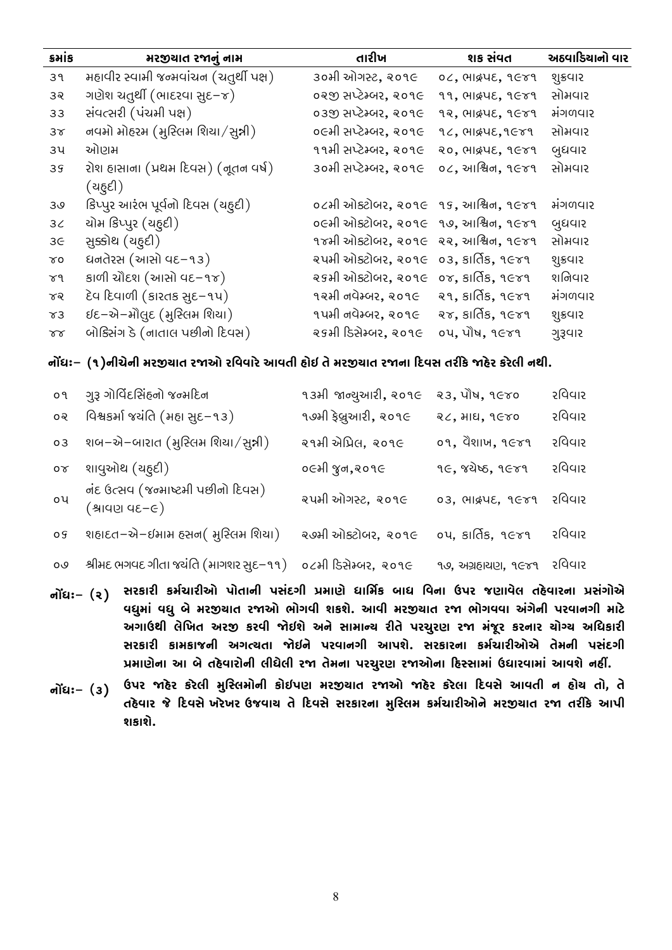| કમાંક      | મરજીચાત રજાનું નામ                                                                          | તારીખ                                                           | શક સંવત                               | અઠવાડિયાનો વાર |
|------------|---------------------------------------------------------------------------------------------|-----------------------------------------------------------------|---------------------------------------|----------------|
| 39         | મહાવીર સ્વામી જન્મવાંચન (ચતુર્થી પક્ષ)                                                      | ૩૦મી ઓગસ્ટ, ૨૦૧૯                                                | $04$ , $04$ , $05$ , $06$ , $07$      | શુક્રવાર       |
| 32         | ગણેશ ચતુર્થી (ભાદરવા સુદ–૪)                                                                 | ૦૨જી સપ્ટેમ્બર, ૨૦૧૯                                            | 99, CHIQUE, 9 Gr9                     | સોમવાર         |
| 33         | સંવત્સરી (પંચમી પક્ષ)                                                                       | ૦૩જી સપ્ટેમ્બર, ૨૦૧૯                                            | 92, CHIQUE, 9 Gr9                     | મંગળવાર        |
| $3\sigma$  | નવમો મોહરમ (મુસ્લિમ શિયા/સુન્ની)                                                            | ૦૯મી સપ્ટેમ્બર, ૨૦૧૯                                            | $92,$ $992, 9679$                     | સોમવાર         |
| зч         | ઓણમ                                                                                         | ૧૧મી સપ્ટેમ્બર, ૨૦૧૯                                            | 20, CHIQUE, 9 Gr9                     | બુધવાર         |
| 39         | રોશ હાસાના (પ્રથમ દિવસ) (નૂતન વર્ષ)<br>(ચઠ્ઠદી)                                             | ૩૦મી સપ્ટેમ્બર, ૨૦૧૯                                            | $04$ , આश्विन, ૧૯૪૧                   | સોમવાર         |
| 30         | કિપ્પુર આરંભ પૂર્વનો દિવસ (ચઠુદી)                                                           | $o$ ८भी ઓક્ટોબર, २०१ $\epsilon$ १ $s$ , આश्विन, १ $\epsilon$ ४१ |                                       | મંગળવાર        |
| 3<         | યોમ કિપ્પુર (ચઠુદી)                                                                         | ૦૯મી ઓક્ટોબર, ૨૦૧૯                                              | $99,$ આશ્વિન, $9679$                  | બુધવાર         |
| 3G         | સૂક્કોથ (ચઠુદી)                                                                             | ૧૪મી ઓક્ટોબર <b>,</b> ૨૦૧૯                                      | २२, आश्विन, १ $\epsilon$ ४१           | સોમવાર         |
| $\gamma$ 0 | ધનતેરસ (આસો વદ−૧૩)                                                                          | ૨૫મી ઓક્ટોબર, ૨૦૧૯ ૦૩, કાર્તિક, ૧૯૪૧                            |                                       | શુક્રવાર       |
| চপ         | કાળી ચૌદશ (આસો વદ–૧૪)                                                                       | २९भी ओडटोजर, २०१૯ ०४, डार्तिड, १૯४१                             |                                       | શનિવાર         |
| ಕನ         | દેવ દિવાળી (કારતક સુદ-૧૫)                                                                   | ૧૨મી નવેમ્બર, ૨૦૧૯                                              | २१, $s$ ार्ति $s,$ १ $\varepsilon$ ४१ | મંગળવાર        |
| $x_3$      | ઈદ–એ–મૌલુદ (મુસ્લિમ શિયા)                                                                   | ૧૫મી નવેમ્બર, ૨૦૧૯                                              | $88,$ $81$ $65,$ $9689$               | શુક્રવાર       |
| $\gamma$   | બોક્સિંગ ડે (નાતાલ પછીનો દિવસ)                                                              | ૨૬મી ડિસેમ્બર <b>,</b> ૨૦૧૯                                     | ०५, पौष, १૯४१                         | ગુરૂવાર        |
|            | નોંધઃ– (૧)નીચેની મરજીચાત રજાઓ રવિવારે આવતી હોઇ તે મરજીચાત રજાના દિવસ તરીકે જાહેર કરેલી નથી. |                                                                 |                                       |                |
| o٩         | ગુરૂ ગોવિંદસિંહનો જન્મદિન                                                                   | ૧૩મી જાન્યુઆરી, ૨૦૧૯                                            | २३, पौष, १ <i>६</i> ४०                | રવિવાર         |
| ೦૨         | વિશ્વકર્મા જયંતિ (મહા સુદ-૧૩)                                                               | ૧૭મી ફેબ્રુઆરી, ૨૦૧૯                                            | २८, भाध, १ $C$ ४०                     | રવિવાર         |
| 03         | શબ–એ–બારાત (મુસ્લિમ શિયા/સુન્ની)                                                            | ૨૧મી એપ્રિલ, ૨૦૧૯                                               | ०१, पैशाज, १૯४१                       | રવિવાર         |
| $\sigma$   | શાવુઓથ (ચઠુદી)                                                                              | ૦૯મી જુન,૨૦૧૯                                                   | ૧૯, જયેષ્ઠ, ૧૯૪૧                      | રવિવાર         |
| οų         | નંદ ઉત્સવ (જન્માષ્ટમી પછીનો દિવસ)<br>$(9 - 3)$ વાયણ વદન                                     | ૨૫મી ઓગસ્ટ, ૨૦૧૯                                                | 03, CHIQUE, 9Gr9                      | રવિવાર         |

| ०९ શહાદત–એ–ઈમામ હસન( મુસ્લિમ શિયા) ર અમી ઓક્ટોબર, ૨૦૧૯ ૦૫, કાર્તિક, ૧૯૪૧ રવિવાર        |  |  |
|----------------------------------------------------------------------------------------|--|--|
| ૦૭ શ્રીમદ ભગવદ ગીતા જયંતિ (માગશર સુદ–૧૧) ૦૮મી ડિસેમ્બર, ૨૦૧૯ ૧૭, અગ્રહાચણ, ૧૯૪૧ રવિવાર |  |  |

- **ફáપઆ-** (**૪) ઼ળગીળૂ ગરર્જીળૂક બ્દીફૂ બ઼અનઙૂ Ëરીથૉ પીુરર્ગ મીપ ુષફી ઋબળ ઞથીષૉવ દઽૉષીળફી Ë઼અઙ્ઑ ષપૃરીઅ ષપૃમૉરળજીલીદ ળજાક ય્ઙષૂ સગસૉ. ઈષૂ રળજીલીદ ળજા ય્ઙષષી ઇઅઙૉફૂ બળષીફઙૂ રીડૉ ઇઙીઋધૂ વૉુઘદ ઇળજી ગળષૂ જોઉસૉ ઇફૉ઼ીરીન્લ ળૂદૉ બળજૃળથ ળજા રઅઞૄળ ગળફીળ લ્ગ્લ ઇુપગીળૂ ઼ળગીળૂ ગીરગીઞફૂ ઇઙત્લદી જોઉફૉ બળષીફઙૂ ઈબસૉ. ઼ળગીળફી ગરર્જીળૂકઑ દૉરફૂ બ઼અનઙૂ Ëરીથૉફી ઈ મૉદઽૉષીળ્ફૂ વૂપૉવૂ ળજા દૉરફી બળજૃળથ ળજાકફી િઽ°઼ીરીઅ ઋપીળષીરીઅ ઈષસૉફઽીં.**
- નોંધઃ– (૩) ઉપર જાહેર કરેલી મુસ્લિમોની કોઈપણ મરજીચાત રજાઓ જાહેર કરેલા દિવસે આવતી ન હોચ તો, તે તહેવાર જે દિવસે ખરેખર ઉજવાચ તે દિવસે સરકારના મુસ્લિમ કર્મચારીઓને મરજીચાત રજા તરીકે આપી **સગીસ.ૉ**